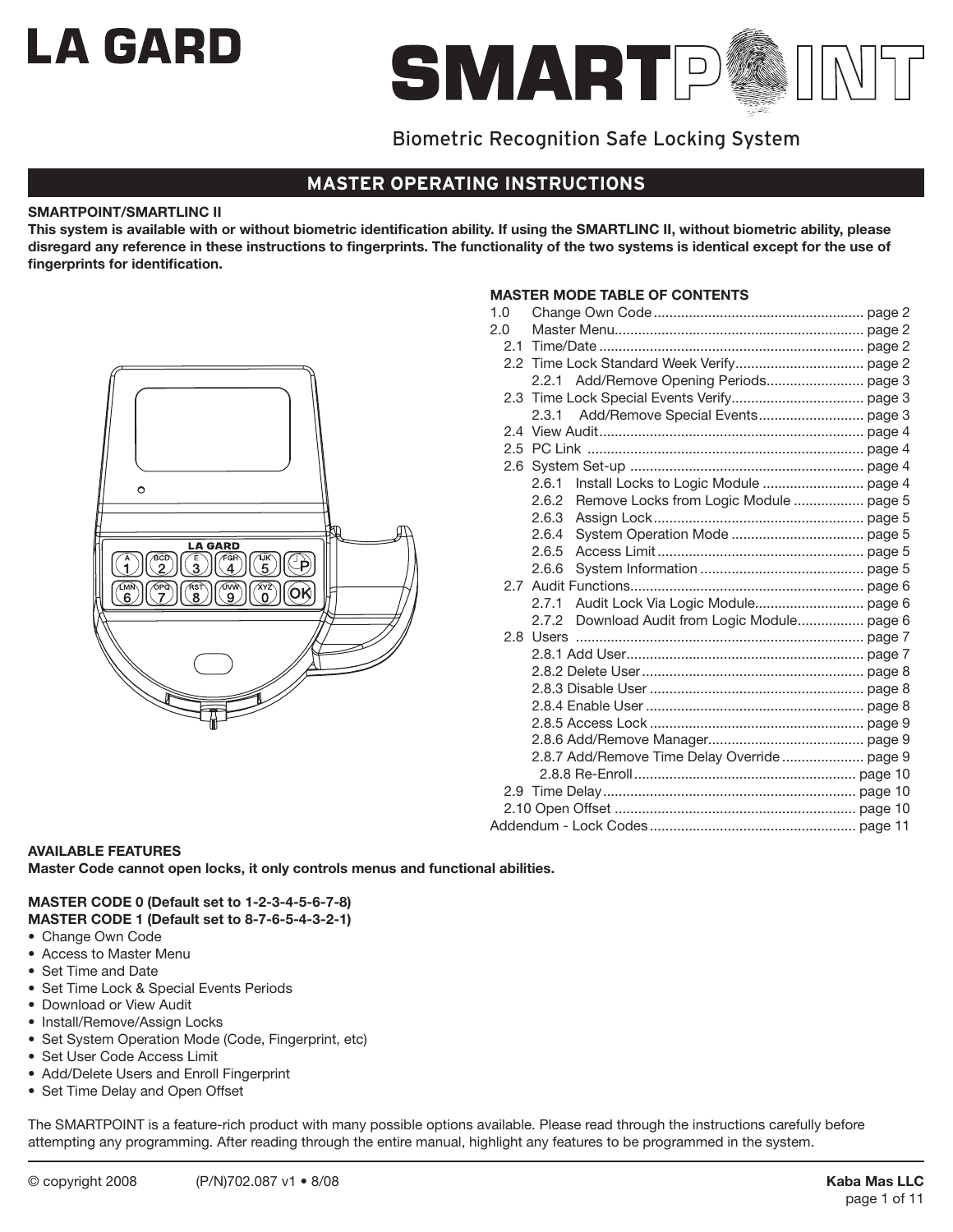# **LA GARD**



## Biometric Recognition Safe Locking System

## **MASTER OPERATING INSTRUCTIONS**

## **SMARTPOINT/SMARTLINC II**

**This system is available with or without biometric identification ability. If using the SMARTLINC II, without biometric ability, please disregard any reference in these instructions to fingerprints. The functionality of the two systems is identical except for the use of fingerprints for identification.**



## **Master Mode Table of Contents**

| 1.0 |       |                                              |  |
|-----|-------|----------------------------------------------|--|
| 2.0 |       |                                              |  |
|     |       |                                              |  |
|     |       |                                              |  |
|     |       |                                              |  |
|     |       |                                              |  |
|     | 2.3.1 |                                              |  |
|     |       |                                              |  |
|     |       |                                              |  |
|     |       |                                              |  |
|     | 2.6.1 |                                              |  |
|     | 2.6.2 | Remove Locks from Logic Module  page 5       |  |
|     | 2.6.3 |                                              |  |
|     | 2.6.4 |                                              |  |
|     | 2.6.5 |                                              |  |
|     | 2.6.6 |                                              |  |
|     |       |                                              |  |
|     | 2.7.1 |                                              |  |
|     | 2.7.2 | Download Audit from Logic Module page 6      |  |
|     |       |                                              |  |
|     |       |                                              |  |
|     |       |                                              |  |
|     |       |                                              |  |
|     |       |                                              |  |
|     |       |                                              |  |
|     |       |                                              |  |
|     |       | 2.8.7 Add/Remove Time Delay Override  page 9 |  |
|     |       |                                              |  |
|     |       |                                              |  |
|     |       |                                              |  |
|     |       |                                              |  |

## **AVAILABLE FEATURES**

**Master Code cannot open locks, it only controls menus and functional abilities.**

#### **MASTER CODE 0 (Default set to 1-2-3-4-5-6-7-8) MASTER CODE 1 (Default set to 8-7-6-5-4-3-2-1)**

- Change Own Code
- • Access to Master Menu
- Set Time and Date
- Set Time Lock & Special Events Periods
- • Download or View Audit
- Install/Remove/Assign Locks
- Set System Operation Mode (Code, Fingerprint, etc)
- Set User Code Access Limit
- Add/Delete Users and Enroll Fingerprint
- Set Time Delay and Open Offset

The SMARTPOINT is a feature-rich product with many possible options available. Please read through the instructions carefully before attempting any programming. After reading through the entire manual, highlight any features to be programmed in the system.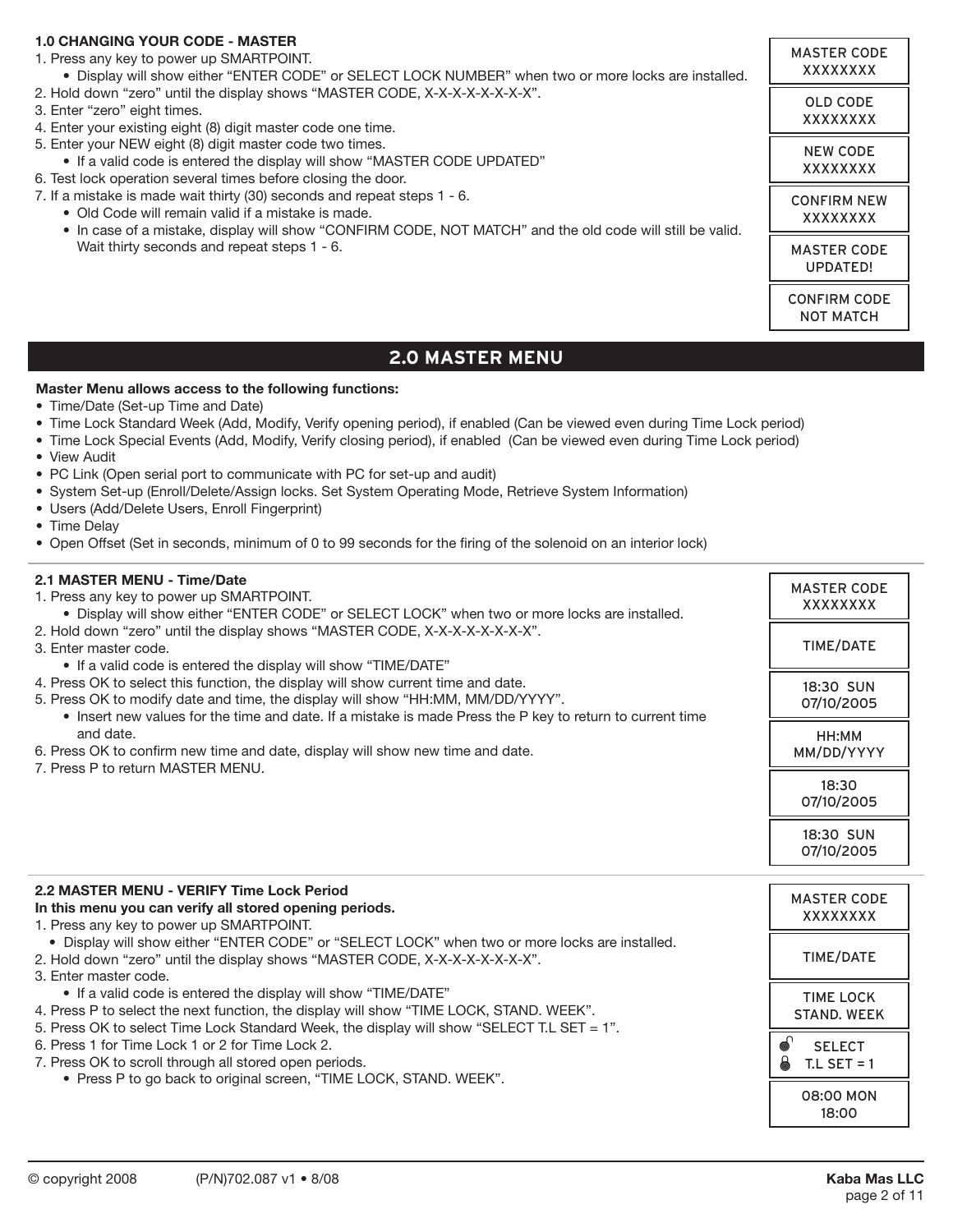## **1.0 CHANGING YOUR CODE - MASTER**

- 1. Press any key to power up SMARTPOINT.
- • Display will show either "ENTER CODE" or SELECT LOCK NUMBER" when two or more locks are installed.
- 2. Hold down "zero" until the display shows "MASTER CODE, X-X-X-X-X-X-X-X".
- 3. Enter "zero" eight times.
- 4. Enter your existing eight (8) digit master code one time.
- 5. Enter your NEW eight (8) digit master code two times.
	- If a valid code is entered the display will show "MASTER CODE UPDATED"
- 6. Test lock operation several times before closing the door.
- 7. If a mistake is made wait thirty (30) seconds and repeat steps 1 6.
	- • Old Code will remain valid if a mistake is made.
	- In case of a mistake, display will show "CONFIRM CODE, NOT MATCH" and the old code will still be valid. Wait thirty seconds and repeat steps 1 - 6.

MASTER CODE UPDATED! CONFIRM CODE NOT MATCH

MASTER CODE XXXXXXXX

> OLD CODE XXXXXXXX

> NEW CODE XXXXXXXX

CONFIRM NEW XXXXXXXX

## **2.0 Master Menu**

#### **Master Menu allows access to the following functions:**

- Time/Date (Set-up Time and Date)
- Time Lock Standard Week (Add, Modify, Verify opening period), if enabled (Can be viewed even during Time Lock period)
- • Time Lock Special Events (Add, Modify, Verify closing period), if enabled (Can be viewed even during Time Lock period)
- • View Audit
- PC Link (Open serial port to communicate with PC for set-up and audit)
- • System Set-up (Enroll/Delete/Assign locks. Set System Operating Mode, Retrieve System Information)
- • Users (Add/Delete Users, Enroll Fingerprint)
- Time Delav
- • Open Offset (Set in seconds, minimum of 0 to 99 seconds for the firing of the solenoid on an interior lock)

## **2.1 MASTER MENU - Time/Date**

- 1. Press any key to power up SMARTPOINT. • Display will show either "ENTER CODE" or SELECT LOCK" when two or more locks are installed. 2. Hold down "zero" until the display shows "MASTER CODE, X-X-X-X-X-X-X-X". 3. Enter master code. • If a valid code is entered the display will show "TIME/DATE" 4. Press OK to select this function, the display will show current time and date. 5. Press OK to modify date and time, the display will show "HH:MM, MM/DD/YYYY". • Insert new values for the time and date. If a mistake is made Press the P key to return to current time and date. 6. Press OK to confirm new time and date, display will show new time and date. 7. Press P to return MASTER MENU. **2.2 MASTER MENU - VERIFY Time Lock Period In this menu you can verify all stored opening periods.** 1. Press any key to power up SMARTPOINT. • Display will show either "ENTER CODE" or "SELECT LOCK" when two or more locks are installed. 2. Hold down "zero" until the display shows "MASTER CODE, X-X-X-X-X-X-X-X". 3. Enter master code. • If a valid code is entered the display will show "TIME/DATE" MASTER CODE XXXXXXXX MASTER CODE XXXXXXXX TIME/DATE TIME/DATE 18:30 SUN 07/10/2005 TIME LOCK HH:MM MM/DD/YYYY 18:30 07/10/2005 18:30 SUN 07/10/2005
- 4. Press P to select the next function, the display will show "TIME LOCK, STAND. WEEK".
- 5. Press OK to select Time Lock Standard Week, the display will show "SELECT T.L SET = 1".
- 6. Press 1 for Time Lock 1 or 2 for Time Lock 2.
- 7. Press OK to scroll through all stored open periods.
	- Press P to go back to original screen, "TIME LOCK, STAND. WEEK".

STAND. WEEK

**SELECT 6** T.L SET = 1

 $\bullet$ 

08:00 MON 18:00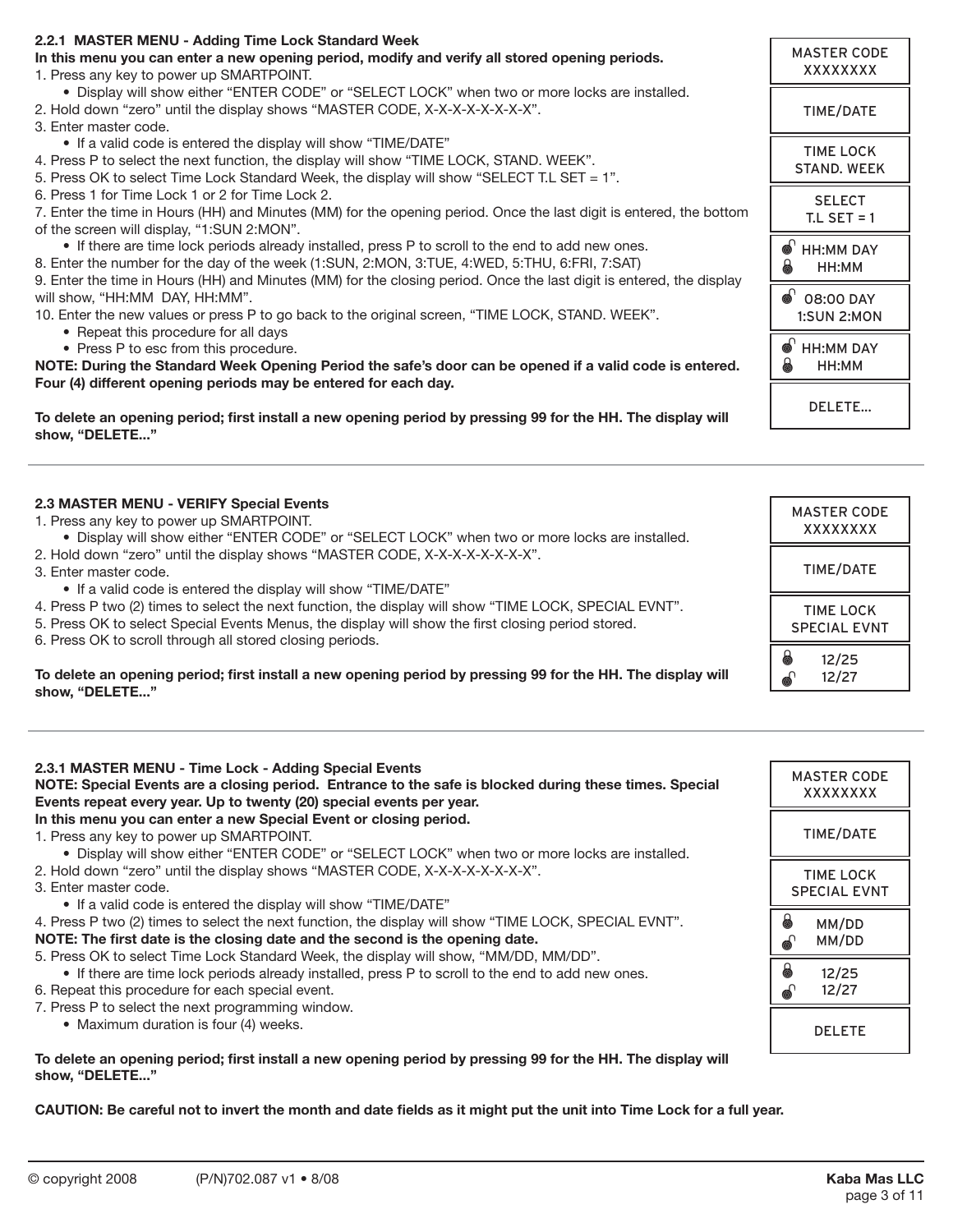| 2.2.1 MASTER MENU - Adding Time Lock Standard Week                                                                   |                       |
|----------------------------------------------------------------------------------------------------------------------|-----------------------|
| In this menu you can enter a new opening period, modify and verify all stored opening periods.                       | <b>MASTER CODE</b>    |
| 1. Press any key to power up SMARTPOINT.                                                                             | XXXXXXXX              |
| . Display will show either "ENTER CODE" or "SELECT LOCK" when two or more locks are installed.                       |                       |
| 2. Hold down "zero" until the display shows "MASTER CODE, X-X-X-X-X-X-X-X".                                          | TIME/DATE             |
| 3. Enter master code.                                                                                                |                       |
| • If a valid code is entered the display will show "TIME/DATE"                                                       |                       |
| 4. Press P to select the next function, the display will show "TIME LOCK, STAND. WEEK".                              | <b>TIME LOCK</b>      |
| 5. Press OK to select Time Lock Standard Week, the display will show "SELECT T.L SET = 1".                           | <b>STAND, WEEK</b>    |
| 6. Press 1 for Time Lock 1 or 2 for Time Lock 2.                                                                     | <b>SELECT</b>         |
| 7. Enter the time in Hours (HH) and Minutes (MM) for the opening period. Once the last digit is entered, the bottom  | $TL$ SET = 1          |
| of the screen will display, "1:SUN 2:MON".                                                                           |                       |
| • If there are time lock periods already installed, press P to scroll to the end to add new ones.                    | $\bullet$ HH:MM DAY   |
| 8. Enter the number for the day of the week (1:SUN, 2:MON, 3:TUE, 4:WED, 5:THU, 6:FRI, 7:SAT)                        | a<br>HH:MM            |
| 9. Enter the time in Hours (HH) and Minutes (MM) for the closing period. Once the last digit is entered, the display |                       |
| will show, "HH:MM DAY, HH:MM".                                                                                       | ெ<br>08:00 DAY        |
| 10. Enter the new values or press P to go back to the original screen, "TIME LOCK, STAND. WEEK".                     | <b>1:SUN 2:MON</b>    |
| • Repeat this procedure for all days                                                                                 |                       |
| • Press P to esc from this procedure.                                                                                | <b>HH:MM DAY</b><br>⊚ |
| NOTE: During the Standard Week Opening Period the safe's door can be opened if a valid code is entered.              | HH:MM<br>6            |
| Four (4) different opening periods may be entered for each day.                                                      |                       |
|                                                                                                                      | DELETE                |
| To delete an opening period; first install a new opening period by pressing 99 for the HH. The display will          |                       |
| show, "DELETE"                                                                                                       |                       |

#### **2.3 MASTER MENU - VERIFY Special Events** 1. Press any key to power up SMARTPOINT. • Display will show either "ENTER CODE" or "SELECT LOCK" when two or more locks are installed. 2. Hold down "zero" until the display shows "MASTER CODE, X-X-X-X-X-X-X-X". 3. Enter master code. • If a valid code is entered the display will show "TIME/DATE" 4. Press P two (2) times to select the next function, the display will show "TIME LOCK, SPECIAL EVNT". 5. Press OK to select Special Events Menus, the display will show the first closing period stored. 6. Press OK to scroll through all stored closing periods. **To delete an opening period; first install a new opening period by pressing 99 for the HH. The display will**  MASTER CODE XXXXXXXX TIME/DATE TIME LOCK SPECIAL EVNT 12/25 12/27 ி 8

| 2.3.1 MASTER MENU - Time Lock - Adding Special Events<br>NOTE: Special Events are a closing period. Entrance to the safe is blocked during these times. Special<br>Events repeat every year. Up to twenty (20) special events per year.        | <b>MASTER CODE</b><br>XXXXXXXX          |
|------------------------------------------------------------------------------------------------------------------------------------------------------------------------------------------------------------------------------------------------|-----------------------------------------|
| In this menu you can enter a new Special Event or closing period.<br>1. Press any key to power up SMARTPOINT.<br>. Display will show either "ENTER CODE" or "SELECT LOCK" when two or more locks are installed.                                | TIME/DATE                               |
| 2. Hold down "zero" until the display shows "MASTER CODE, X-X-X-X-X-X-X-X".<br>3. Enter master code.<br>• If a valid code is entered the display will show "TIME/DATE"                                                                         | <b>TIME LOCK</b><br><b>SPECIAL EVNT</b> |
| 4. Press P two (2) times to select the next function, the display will show "TIME LOCK, SPECIAL EVNT".<br>NOTE: The first date is the closing date and the second is the opening date.                                                         | 6<br>MM/DD<br>MM/DD                     |
| 5. Press OK to select Time Lock Standard Week, the display will show, "MM/DD, MM/DD".<br>• If there are time lock periods already installed, press P to scroll to the end to add new ones.<br>6. Repeat this procedure for each special event. | 6<br>12/25<br>12/27                     |
| 7. Press P to select the next programming window.<br>• Maximum duration is four (4) weeks.                                                                                                                                                     | <b>DELETE</b>                           |

**To delete an opening period; first install a new opening period by pressing 99 for the HH. The display will show, "DELETE..."**

**CAUTION: Be careful not to invert the month and date fields as it might put the unit into Time Lock for a full year.**

**show, "DELETE..."**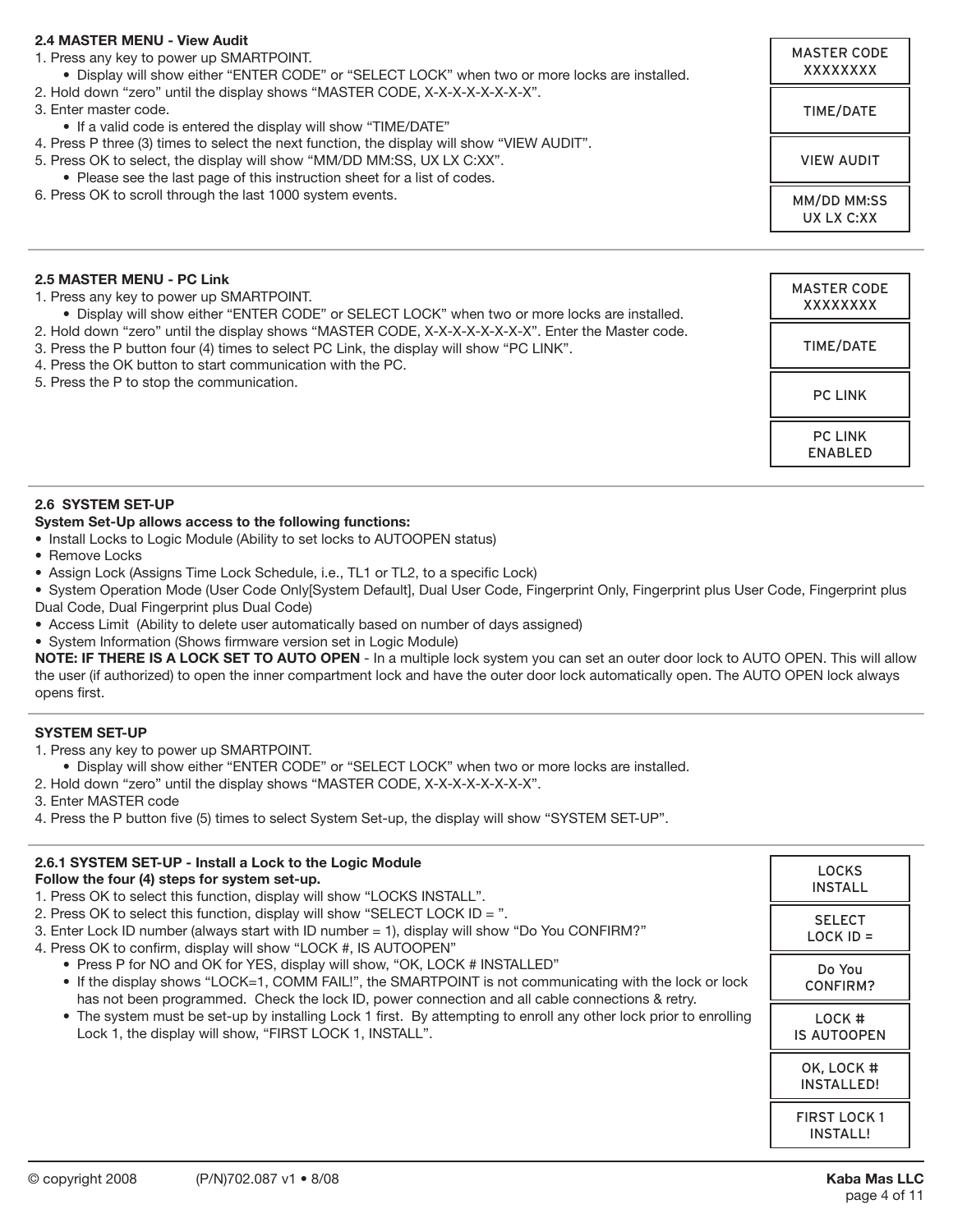## **2.4 MASTER MENU - View Audit**

| 2.4 MASTER MENU - VIEW AUDIT<br>1. Press any key to power up SMARTPOINT.<br>• Display will show either "ENTER CODE" or "SELECT LOCK" when two or more locks are installed.<br>2. Hold down "zero" until the display shows "MASTER CODE, X-X-X-X-X-X-X-X".<br>3. Enter master code.<br>• If a valid code is entered the display will show "TIME/DATE"<br>4. Press P three (3) times to select the next function, the display will show "VIEW AUDIT".<br>5. Press OK to select, the display will show "MM/DD MM:SS, UX LX C:XX".<br>• Please see the last page of this instruction sheet for a list of codes.<br>6. Press OK to scroll through the last 1000 system events. | <b>MASTER CODE</b><br>XXXXXXXX |
|---------------------------------------------------------------------------------------------------------------------------------------------------------------------------------------------------------------------------------------------------------------------------------------------------------------------------------------------------------------------------------------------------------------------------------------------------------------------------------------------------------------------------------------------------------------------------------------------------------------------------------------------------------------------------|--------------------------------|
|                                                                                                                                                                                                                                                                                                                                                                                                                                                                                                                                                                                                                                                                           | TIME/DATE                      |
|                                                                                                                                                                                                                                                                                                                                                                                                                                                                                                                                                                                                                                                                           | <b>VIEW AUDIT</b>              |
|                                                                                                                                                                                                                                                                                                                                                                                                                                                                                                                                                                                                                                                                           | MM/DD MM:SS<br>UX LX C:XX      |
|                                                                                                                                                                                                                                                                                                                                                                                                                                                                                                                                                                                                                                                                           |                                |
| 2.5 MASTER MENU - PC Link<br>1. Press any key to power up SMARTPOINT.<br>• Display will show either "ENTER CODE" or SELECT LOCK" when two or more locks are installed.                                                                                                                                                                                                                                                                                                                                                                                                                                                                                                    | <b>MASTER CODE</b><br>XXXXXXXX |
| 2. Hold down "zero" until the display shows "MASTER CODE, X-X-X-X-X-X-X-X". Enter the Master code.<br>3. Press the P button four (4) times to select PC Link, the display will show "PC LINK".<br>4. Press the OK button to start communication with the PC.<br>5. Press the P to stop the communication.                                                                                                                                                                                                                                                                                                                                                                 | TIME/DATE                      |
|                                                                                                                                                                                                                                                                                                                                                                                                                                                                                                                                                                                                                                                                           | <b>PC LINK</b>                 |

PC LINK ENABLED

#### **2.6 SYSTEM SET-UP**

#### **System Set-Up allows access to the following functions:**

- Install Locks to Logic Module (Ability to set locks to AUTOOPEN status)
- Remove Locks
- Assign Lock (Assigns Time Lock Schedule, i.e., TL1 or TL2, to a specific Lock)

• System Operation Mode (User Code Only[System Default], Dual User Code, Fingerprint Only, Fingerprint plus User Code, Fingerprint plus Dual Code, Dual Fingerprint plus Dual Code)

- Access Limit (Ability to delete user automatically based on number of days assigned)
- System Information (Shows firmware version set in Logic Module)

**NOTE: IF THERE IS A LOCK SET TO AUTO OPEN** - In a multiple lock system you can set an outer door lock to AUTO OPEN. This will allow the user (if authorized) to open the inner compartment lock and have the outer door lock automatically open. The AUTO OPEN lock always opens first.

## **SYSTEM SET-UP**

1. Press any key to power up SMARTPOINT.

 • Display will show either "ENTER CODE" or "SELECT LOCK" when two or more locks are installed.

- 2. Hold down "zero" until the display shows "MASTER CODE, X-X-X-X-X-X-X-X".
- 3. Enter MASTER code
- 4. Press the P button five (5) times to select System Set-up, the display will show "SYSTEM SET-UP".

| 2.6.1 SYSTEM SET-UP - Install a Lock to the Logic Module<br>Follow the four (4) steps for system set-up.<br>1. Press OK to select this function, display will show "LOCKS INSTALL".<br>2. Press OK to select this function, display will show "SELECT LOCK ID = $\degree$ .<br>3. Enter Lock ID number (always start with ID number = 1), display will show "Do You CONFIRM?"<br>4. Press OK to confirm, display will show "LOCK #, IS AUTOOPEN"<br>• Press P for NO and OK for YES, display will show, "OK, LOCK # INSTALLED"<br>• If the display shows "LOCK=1, COMM FAIL!", the SMARTPOINT is not communicating with the lock or lock<br>has not been programmed. Check the lock ID, power connection and all cable connections & retry.<br>• The system must be set-up by installing Lock 1 first. By attempting to enroll any other lock prior to enrolling<br>Lock 1, the display will show, "FIRST LOCK 1, INSTALL". | <b>LOCKS</b><br><b>INSTALL</b>         |
|-----------------------------------------------------------------------------------------------------------------------------------------------------------------------------------------------------------------------------------------------------------------------------------------------------------------------------------------------------------------------------------------------------------------------------------------------------------------------------------------------------------------------------------------------------------------------------------------------------------------------------------------------------------------------------------------------------------------------------------------------------------------------------------------------------------------------------------------------------------------------------------------------------------------------------|----------------------------------------|
|                                                                                                                                                                                                                                                                                                                                                                                                                                                                                                                                                                                                                                                                                                                                                                                                                                                                                                                             | <b>SELECT</b><br>$LOCK$ ID =           |
|                                                                                                                                                                                                                                                                                                                                                                                                                                                                                                                                                                                                                                                                                                                                                                                                                                                                                                                             | Do You<br><b>CONFIRM?</b>              |
|                                                                                                                                                                                                                                                                                                                                                                                                                                                                                                                                                                                                                                                                                                                                                                                                                                                                                                                             | LOCK #<br><b>IS AUTOOPEN</b>           |
|                                                                                                                                                                                                                                                                                                                                                                                                                                                                                                                                                                                                                                                                                                                                                                                                                                                                                                                             | OK, LOCK #<br><b>INSTALLED!</b>        |
|                                                                                                                                                                                                                                                                                                                                                                                                                                                                                                                                                                                                                                                                                                                                                                                                                                                                                                                             | <b>FIRST LOCK 1</b><br><b>INSTALL!</b> |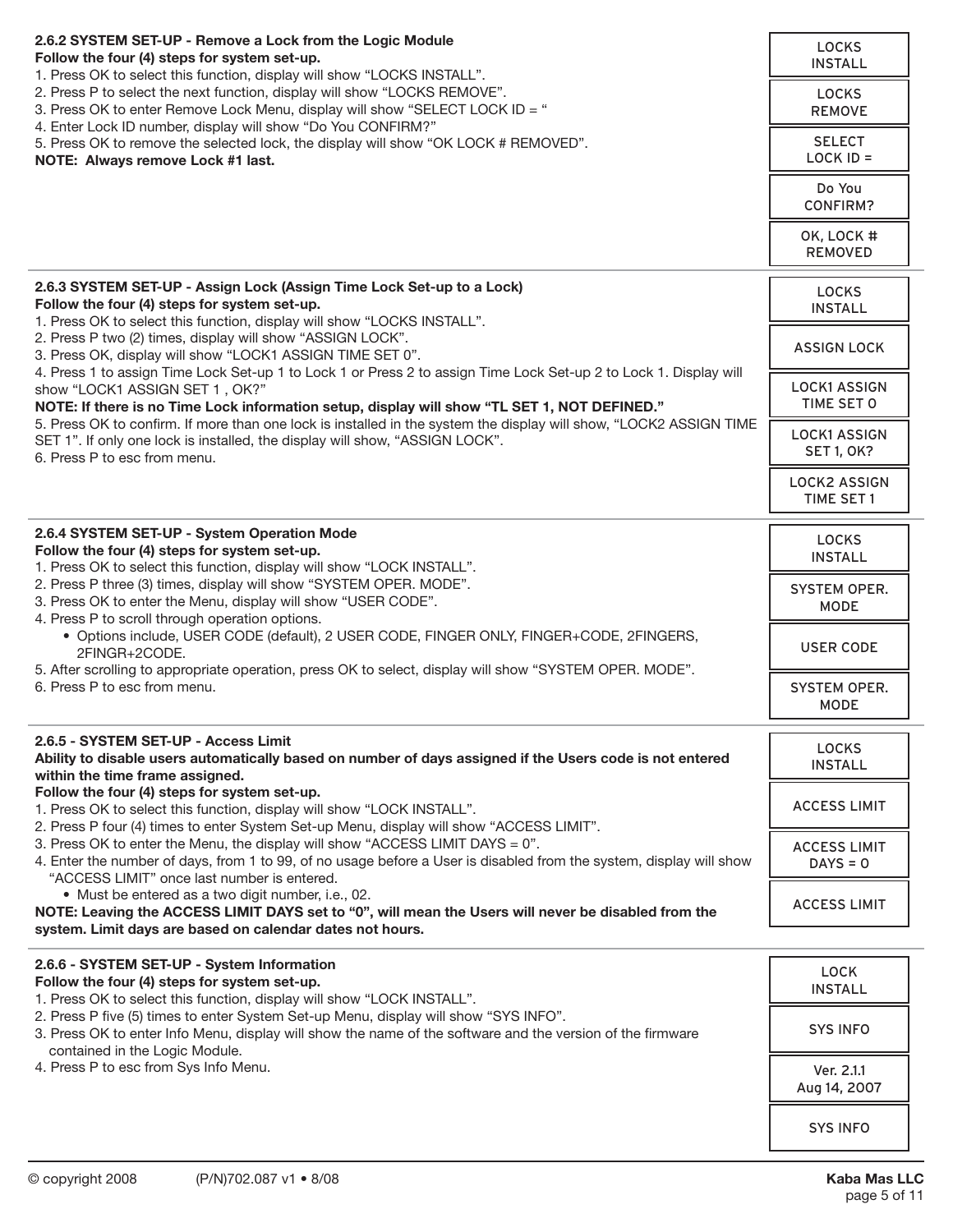| 2.6.2 SYSTEM SET-UP - Remove a Lock from the Logic Module<br>Follow the four (4) steps for system set-up.<br>1. Press OK to select this function, display will show "LOCKS INSTALL".                                                                   | <b>LOCKS</b><br><b>INSTALL</b>           |
|--------------------------------------------------------------------------------------------------------------------------------------------------------------------------------------------------------------------------------------------------------|------------------------------------------|
| 2. Press P to select the next function, display will show "LOCKS REMOVE".<br>3. Press OK to enter Remove Lock Menu, display will show "SELECT LOCK ID = "<br>4. Enter Lock ID number, display will show "Do You CONFIRM?"                              | <b>LOCKS</b><br><b>REMOVE</b>            |
| 5. Press OK to remove the selected lock, the display will show "OK LOCK # REMOVED".<br>NOTE: Always remove Lock #1 last.                                                                                                                               | <b>SELECT</b><br>$LOCK$ ID =             |
|                                                                                                                                                                                                                                                        | Do You<br><b>CONFIRM?</b>                |
|                                                                                                                                                                                                                                                        | OK, LOCK #<br><b>REMOVED</b>             |
| 2.6.3 SYSTEM SET-UP - Assign Lock (Assign Time Lock Set-up to a Lock)<br>Follow the four (4) steps for system set-up.<br>1. Press OK to select this function, display will show "LOCKS INSTALL".                                                       | <b>LOCKS</b><br><b>INSTALL</b>           |
| 2. Press P two (2) times, display will show "ASSIGN LOCK".<br>3. Press OK, display will show "LOCK1 ASSIGN TIME SET 0".                                                                                                                                | <b>ASSIGN LOCK</b>                       |
| 4. Press 1 to assign Time Lock Set-up 1 to Lock 1 or Press 2 to assign Time Lock Set-up 2 to Lock 1. Display will<br>show "LOCK1 ASSIGN SET 1, OK?"<br>NOTE: If there is no Time Lock information setup, display will show "TL SET 1, NOT DEFINED."    | <b>LOCK1 ASSIGN</b><br>TIME SET O        |
| 5. Press OK to confirm. If more than one lock is installed in the system the display will show, "LOCK2 ASSIGN TIME<br>SET 1". If only one lock is installed, the display will show, "ASSIGN LOCK".<br>6. Press P to esc from menu.                     | <b>LOCK1 ASSIGN</b><br><b>SET 1, OK?</b> |
|                                                                                                                                                                                                                                                        | <b>LOCK2 ASSIGN</b><br>TIME SET 1        |
| 2.6.4 SYSTEM SET-UP - System Operation Mode<br>Follow the four (4) steps for system set-up.<br>1. Press OK to select this function, display will show "LOCK INSTALL".                                                                                  | <b>LOCKS</b><br><b>INSTALL</b>           |
| 2. Press P three (3) times, display will show "SYSTEM OPER. MODE".<br>3. Press OK to enter the Menu, display will show "USER CODE".<br>4. Press P to scroll through operation options.                                                                 | SYSTEM OPER.<br><b>MODE</b>              |
| · Options include, USER CODE (default), 2 USER CODE, FINGER ONLY, FINGER+CODE, 2FINGERS,<br>2FINGR+2CODE.                                                                                                                                              | <b>USER CODE</b>                         |
| 5. After scrolling to appropriate operation, press OK to select, display will show "SYSTEM OPER. MODE".<br>6. Press P to esc from menu.                                                                                                                | <b>SYSTEM OPER.</b><br><b>MODE</b>       |
| 2.6.5 - SYSTEM SET-UP - Access Limit<br>Ability to disable users automatically based on number of days assigned if the Users code is not entered<br>within the time frame assigned.                                                                    | <b>LOCKS</b><br><b>INSTALL</b>           |
| Follow the four (4) steps for system set-up.<br>1. Press OK to select this function, display will show "LOCK INSTALL".<br>2. Press P four (4) times to enter System Set-up Menu, display will show "ACCESS LIMIT".                                     | <b>ACCESS LIMIT</b>                      |
| 3. Press OK to enter the Menu, the display will show "ACCESS LIMIT DAYS = $0$ ".<br>4. Enter the number of days, from 1 to 99, of no usage before a User is disabled from the system, display will show<br>"ACCESS LIMIT" once last number is entered. | <b>ACCESS LIMIT</b><br>$DAYS = 0$        |
| · Must be entered as a two digit number, i.e., 02.<br>NOTE: Leaving the ACCESS LIMIT DAYS set to "0", will mean the Users will never be disabled from the<br>system. Limit days are based on calendar dates not hours.                                 | <b>ACCESS LIMIT</b>                      |
|                                                                                                                                                                                                                                                        |                                          |
| 2.6.6 - SYSTEM SET-UP - System Information<br>Follow the four (4) steps for system set-up.<br>1. Press OK to select this function, display will show "LOCK INSTALL".                                                                                   | <b>LOCK</b><br><b>INSTALL</b>            |
| 2. Press P five (5) times to enter System Set-up Menu, display will show "SYS INFO".<br>3. Press OK to enter Info Menu, display will show the name of the software and the version of the firmware<br>contained in the Logic Module.                   | <b>SYS INFO</b>                          |
| 4. Press P to esc from Sys Info Menu.                                                                                                                                                                                                                  | Ver. 2.1.1<br>Aug 14, 2007               |
|                                                                                                                                                                                                                                                        | <b>SYS INFO</b>                          |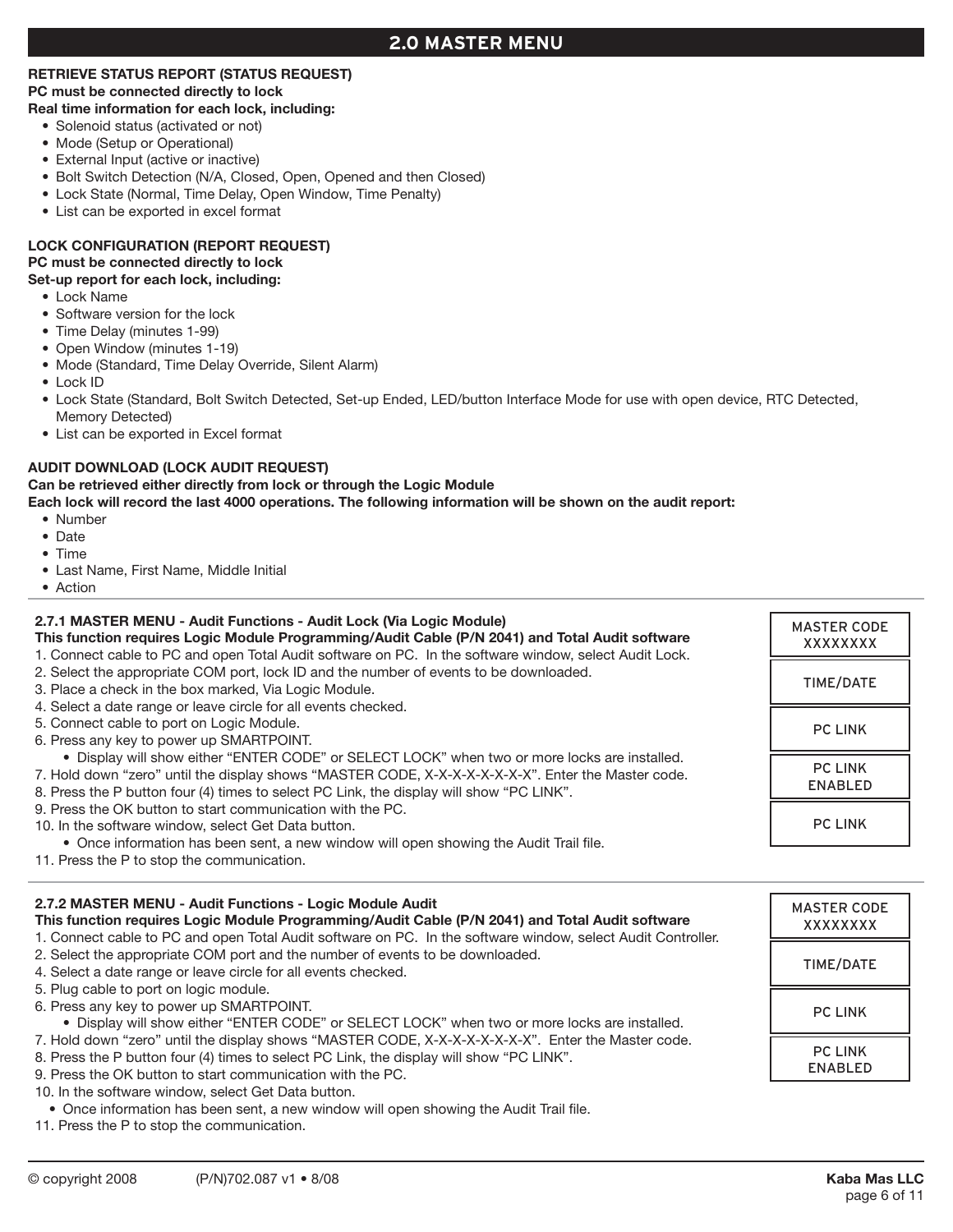## **2.0 Master Menu**

# **RETRIEVE STATUS REPORT (STATUS REQUEST)**

## **PC must be connected directly to lock**

## **Real time information for each lock, including:**

- Solenoid status (activated or not)
- Mode (Setup or Operational)
- External Input (active or inactive)
- Bolt Switch Detection (N/A, Closed, Open, Opened and then Closed)
- Lock State (Normal, Time Delay, Open Window, Time Penalty)
- List can be exported in excel format

## **LOCK CONFIGURATION (REPORT REQUEST)**

## **PC must be connected directly to lock**

## **Set-up report for each lock, including:**

- Lock Name
- Software version for the lock
- • Time Delay (minutes 1-99)
- • Open Window (minutes 1-19)
- Mode (Standard, Time Delay Override, Silent Alarm)
- Lock ID
- • Lock State (Standard, Bolt Switch Detected, Set-up Ended, LED/button Interface Mode for use with open device, RTC Detected, Memory Detected)
- List can be exported in Excel format

## **AUDIT DOWNLOAD (LOCK AUDIT REQUEST)**

## **Can be retrieved either directly from lock or through the Logic Module**

**Each lock will record the last 4000 operations. The following information will be shown on the audit report:**

- • Number
- • Date
- Time
- • Last Name, First Name, Middle Initial
- Action

#### **2.7.1 MASTER MENU - Audit Functions - Audit Lock (Via Logic Module) This function requires Logic Module Programming/Audit Cable (P/N 2041) and Total Audit software** 1. Connect cable to PC and open Total Audit software on PC. In the software window, select Audit Lock. 2. Select the appropriate COM port, lock ID and the number of events to be downloaded. 3. Place a check in the box marked, Via Logic Module. 4. Select a date range or leave circle for all events checked. 5. Connect cable to port on Logic Module. 6. Press any key to power up SMARTPOINT. • Display will show either "ENTER CODE" or SELECT LOCK" when two or more locks are installed. 7. Hold down "zero" until the display shows "MASTER CODE, X-X-X-X-X-X-X-X". Enter the Master code. 8. Press the P button four (4) times to select PC Link, the display will show "PC LINK". 9. Press the OK button to start communication with the PC. 10. In the software window, select Get Data button. • Once information has been sent, a new window will open showing the Audit Trail file. MASTER CODE XXXXXXXX TIME/DATE PC LINK PC LINK ENABLED PC LINK

11. Press the P to stop the communication.

## **2.7.2 MASTER MENU - Audit Functions - Logic Module Audit**

**This function requires Logic Module Programming/Audit Cable (P/N 2041) and Total Audit software** 1. Connect cable to PC and open Total Audit software on PC. In the software window, select Audit Controller.

- 2. Select the appropriate COM port and the number of events to be downloaded.
- 4. Select a date range or leave circle for all events checked.
- 5. Plug cable to port on logic module.
- 6. Press any key to power up SMARTPOINT.

 • Display will show either "ENTER CODE" or SELECT LOCK" when two or more locks are installed.

7. Hold down "zero" until the display shows "MASTER CODE, X-X-X-X-X-X-X-X". Enter the Master code.

- 8. Press the P button four (4) times to select PC Link, the display will show "PC LINK".
- 9. Press the OK button to start communication with the PC.
- 10. In the software window, select Get Data button.
- • Once information has been sent, a new window will open showing the Audit Trail file.
- 11. Press the P to stop the communication.

MASTER CODE XXXXXXXX

TIME/DATE

PC LINK

PC LINK ENABLED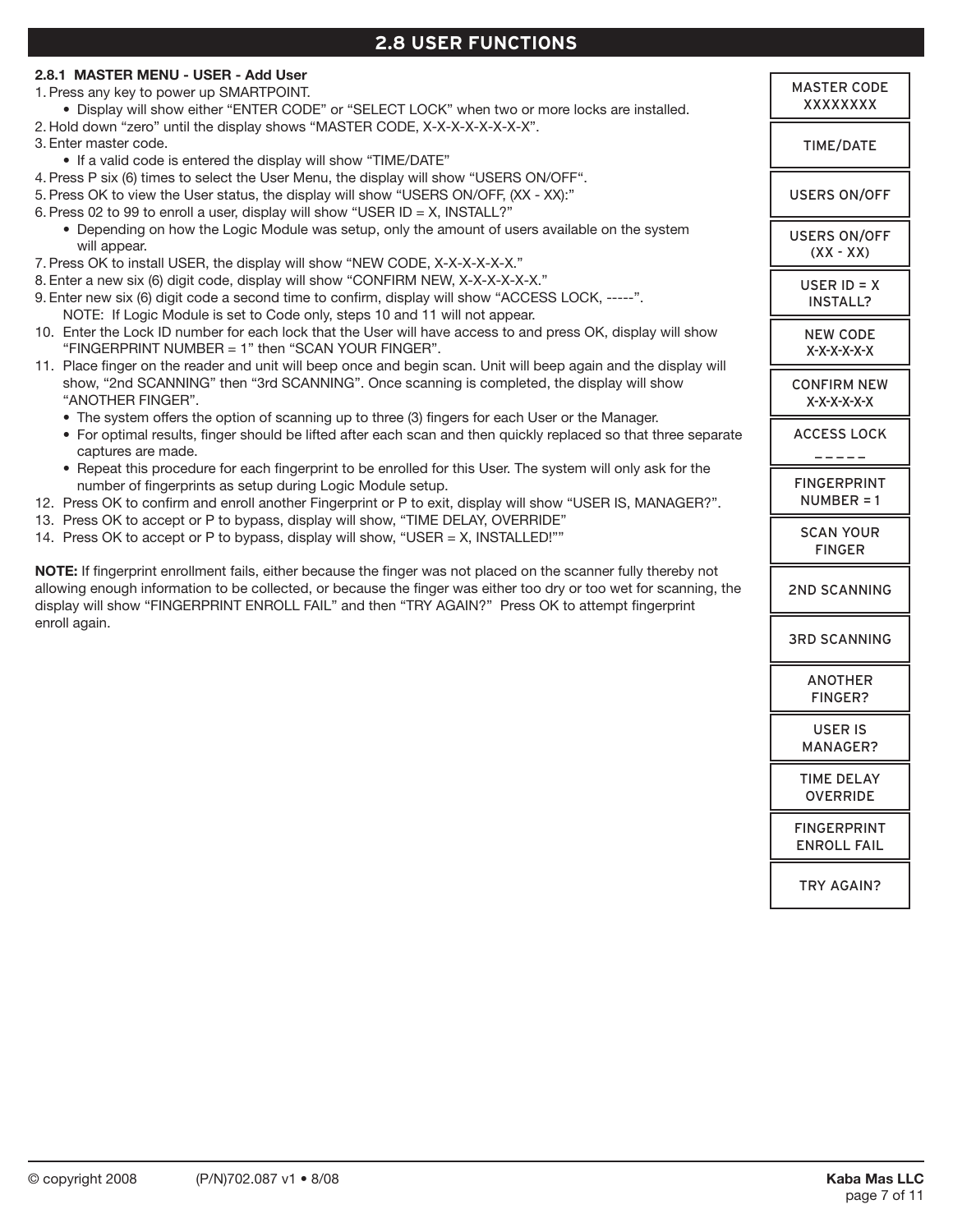# **2.8 USER FUNCTIONS**

| 2.8.1 MASTER MENU - USER - Add User                                                                                                                                                                             |                                |
|-----------------------------------------------------------------------------------------------------------------------------------------------------------------------------------------------------------------|--------------------------------|
| 1. Press any key to power up SMARTPOINT.<br>. Display will show either "ENTER CODE" or "SELECT LOCK" when two or more locks are installed.                                                                      | <b>MASTER CODE</b><br>XXXXXXXX |
| 2. Hold down "zero" until the display shows "MASTER CODE, X-X-X-X-X-X-X-X-X".                                                                                                                                   |                                |
| 3. Enter master code.                                                                                                                                                                                           | TIME/DATE                      |
| • If a valid code is entered the display will show "TIME/DATE"                                                                                                                                                  |                                |
| 4. Press P six (6) times to select the User Menu, the display will show "USERS ON/OFF".                                                                                                                         |                                |
| 5. Press OK to view the User status, the display will show "USERS ON/OFF, (XX - XX):"                                                                                                                           | <b>USERS ON/OFF</b>            |
| 6. Press 02 to 99 to enroll a user, display will show "USER ID = X, INSTALL?"                                                                                                                                   |                                |
| • Depending on how the Logic Module was setup, only the amount of users available on the system                                                                                                                 | <b>USERS ON/OFF</b>            |
| will appear.                                                                                                                                                                                                    | $(XX - XX)$                    |
| 7. Press OK to install USER, the display will show "NEW CODE, X-X-X-X-X-X."                                                                                                                                     |                                |
| 8. Enter a new six (6) digit code, display will show "CONFIRM NEW, X-X-X-X-X-X-X."                                                                                                                              | USER $ID = X$                  |
| 9. Enter new six (6) digit code a second time to confirm, display will show "ACCESS LOCK, -----".                                                                                                               | <b>INSTALL?</b>                |
| NOTE: If Logic Module is set to Code only, steps 10 and 11 will not appear.                                                                                                                                     |                                |
| 10. Enter the Lock ID number for each lock that the User will have access to and press OK, display will show                                                                                                    | <b>NEW CODE</b>                |
| "FINGERPRINT NUMBER = 1" then "SCAN YOUR FINGER".                                                                                                                                                               | X-X-X-X-X-X                    |
| 11. Place finger on the reader and unit will beep once and begin scan. Unit will beep again and the display will<br>show, "2nd SCANNING" then "3rd SCANNING". Once scanning is completed, the display will show |                                |
| "ANOTHER FINGER".                                                                                                                                                                                               | <b>CONFIRM NEW</b>             |
| • The system offers the option of scanning up to three (3) fingers for each User or the Manager.                                                                                                                | X-X-X-X-X-X                    |
| • For optimal results, finger should be lifted after each scan and then quickly replaced so that three separate                                                                                                 | <b>ACCESS LOCK</b>             |
| captures are made.                                                                                                                                                                                              |                                |
| • Repeat this procedure for each fingerprint to be enrolled for this User. The system will only ask for the                                                                                                     |                                |
| number of fingerprints as setup during Logic Module setup.                                                                                                                                                      | <b>FINGERPRINT</b>             |
| 12. Press OK to confirm and enroll another Fingerprint or P to exit, display will show "USER IS, MANAGER?".                                                                                                     | $NUMBER = 1$                   |
| 13. Press OK to accept or P to bypass, display will show, "TIME DELAY, OVERRIDE"                                                                                                                                |                                |
| 14. Press OK to accept or P to bypass, display will show, "USER = X, INSTALLED!""                                                                                                                               | <b>SCAN YOUR</b>               |
|                                                                                                                                                                                                                 | <b>FINGER</b>                  |
| NOTE: If fingerprint enrollment fails, either because the finger was not placed on the scanner fully thereby not                                                                                                |                                |
| allowing enough information to be collected, or because the finger was either too dry or too wet for scanning, the                                                                                              | <b>2ND SCANNING</b>            |
| display will show "FINGERPRINT ENROLL FAIL" and then "TRY AGAIN?" Press OK to attempt fingerprint                                                                                                               |                                |
| enroll again.                                                                                                                                                                                                   |                                |
|                                                                                                                                                                                                                 | <b>3RD SCANNING</b>            |
|                                                                                                                                                                                                                 |                                |
|                                                                                                                                                                                                                 | <b>ANOTHER</b>                 |
|                                                                                                                                                                                                                 | FINGER?                        |
|                                                                                                                                                                                                                 |                                |
|                                                                                                                                                                                                                 | <b>USER IS</b>                 |
|                                                                                                                                                                                                                 | MANAGER?                       |
|                                                                                                                                                                                                                 | <b>TIME DELAY</b>              |
|                                                                                                                                                                                                                 | <b>OVERRIDE</b>                |
|                                                                                                                                                                                                                 |                                |
|                                                                                                                                                                                                                 | <b>FINGERPRINT</b>             |
|                                                                                                                                                                                                                 | <b>ENROLL FAIL</b>             |

TRY AGAIN?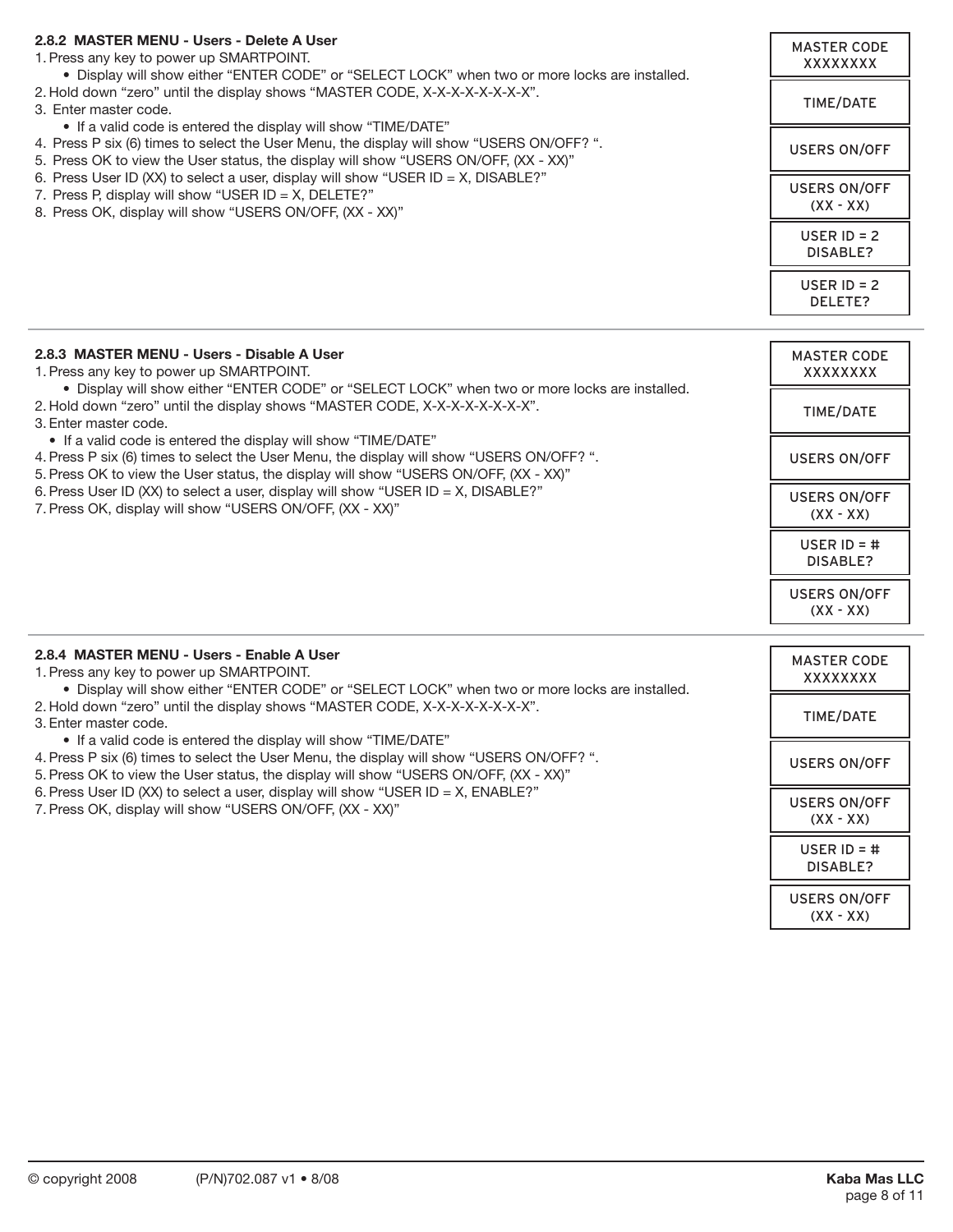#### **2.8.2 MASTER MENU - Users - Delete A User**

1. Press any key to power up SMARTPOINT. • Display will show either "ENTER CODE" or "SELECT LOCK" when two or more locks are installed. 2. Hold down "zero" until the display shows "MASTER CODE, X-X-X-X-X-X-X-X-X". 3. Enter master code. • If a valid code is entered the display will show "TIME/DATE" 4. Press P six (6) times to select the User Menu, the display will show "USERS ON/OFF? ". 5. Press OK to view the User status, the display will show "USERS ON/OFF, (XX - XX)" 6. Press User ID (XX) to select a user, display will show "USER ID = X, DISABLE?" 7. Press P, display will show "USER ID =  $X$ , DELETE?" 8. Press OK, display will show "USERS ON/OFF, (XX - XX)" MASTER CODE XXXXXXXX TIME/DATE USERS ON/OFF USERS ON/OFF (XX - XX) USER ID = 2 DISABLE? USER  $ID = 2$ DELETE?

| 2.8.3 MASTER MENU - Users - Disable A User<br>1. Press any key to power up SMARTPOINT.<br>. Display will show either "ENTER CODE" or "SELECT LOCK" when two or more locks are installed.<br>2. Hold down "zero" until the display shows "MASTER CODE, X-X-X-X-X-X-X-X".<br>3. Enter master code.<br>• If a valid code is entered the display will show "TIME/DATE"<br>4. Press P six (6) times to select the User Menu, the display will show "USERS ON/OFF? ".<br>5. Press OK to view the User status, the display will show "USERS ON/OFF, (XX - XX)"<br>6. Press User ID (XX) to select a user, display will show "USER ID = X, DISABLE?"<br>7. Press OK, display will show "USERS ON/OFF, (XX - XX)" | <b>MASTER CODE</b><br>XXXXXXXX     |
|----------------------------------------------------------------------------------------------------------------------------------------------------------------------------------------------------------------------------------------------------------------------------------------------------------------------------------------------------------------------------------------------------------------------------------------------------------------------------------------------------------------------------------------------------------------------------------------------------------------------------------------------------------------------------------------------------------|------------------------------------|
|                                                                                                                                                                                                                                                                                                                                                                                                                                                                                                                                                                                                                                                                                                          | TIME/DATE                          |
|                                                                                                                                                                                                                                                                                                                                                                                                                                                                                                                                                                                                                                                                                                          | <b>USERS ON/OFF</b>                |
|                                                                                                                                                                                                                                                                                                                                                                                                                                                                                                                                                                                                                                                                                                          | <b>USERS ON/OFF</b><br>$(XX - XX)$ |
|                                                                                                                                                                                                                                                                                                                                                                                                                                                                                                                                                                                                                                                                                                          | USER $ID = #$<br>DISABLE?          |
|                                                                                                                                                                                                                                                                                                                                                                                                                                                                                                                                                                                                                                                                                                          | <b>USERS ON/OFF</b><br>$(XX - XX)$ |
| 2.8.4 MASTER MENU - Users - Enable A User                                                                                                                                                                                                                                                                                                                                                                                                                                                                                                                                                                                                                                                                | MASTER CODE                        |

| <u> 2.0.4 IVIASIEN IVIENU - USEIS - EIIAUJE A USEI</u><br>1. Press any key to power up SMARTPOINT.<br>. Display will show either "ENTER CODE" or "SELECT LOCK" when two or more locks are installed.<br>2. Hold down "zero" until the display shows "MASTER CODE, X-X-X-X-X-X-X-X".<br>3. Enter master code.<br>• If a valid code is entered the display will show "TIME/DATE"<br>4. Press P six (6) times to select the User Menu, the display will show "USERS ON/OFF? ".<br>5. Press OK to view the User status, the display will show "USERS ON/OFF, (XX - XX)"<br>6. Press User ID (XX) to select a user, display will show "USER ID = X, ENABLE?"<br>7. Press OK, display will show "USERS ON/OFF, (XX - XX)" | <b>MASTER CODE</b><br>XXXXXXXX     |
|---------------------------------------------------------------------------------------------------------------------------------------------------------------------------------------------------------------------------------------------------------------------------------------------------------------------------------------------------------------------------------------------------------------------------------------------------------------------------------------------------------------------------------------------------------------------------------------------------------------------------------------------------------------------------------------------------------------------|------------------------------------|
|                                                                                                                                                                                                                                                                                                                                                                                                                                                                                                                                                                                                                                                                                                                     | <b>TIME/DATE</b>                   |
|                                                                                                                                                                                                                                                                                                                                                                                                                                                                                                                                                                                                                                                                                                                     | <b>USERS ON/OFF</b>                |
|                                                                                                                                                                                                                                                                                                                                                                                                                                                                                                                                                                                                                                                                                                                     | <b>USERS ON/OFF</b><br>$(XX - XX)$ |
|                                                                                                                                                                                                                                                                                                                                                                                                                                                                                                                                                                                                                                                                                                                     | USER $ID = #$<br>DISABLE?          |
|                                                                                                                                                                                                                                                                                                                                                                                                                                                                                                                                                                                                                                                                                                                     | <b>USERS ON/OFF</b><br>$(XX - XX)$ |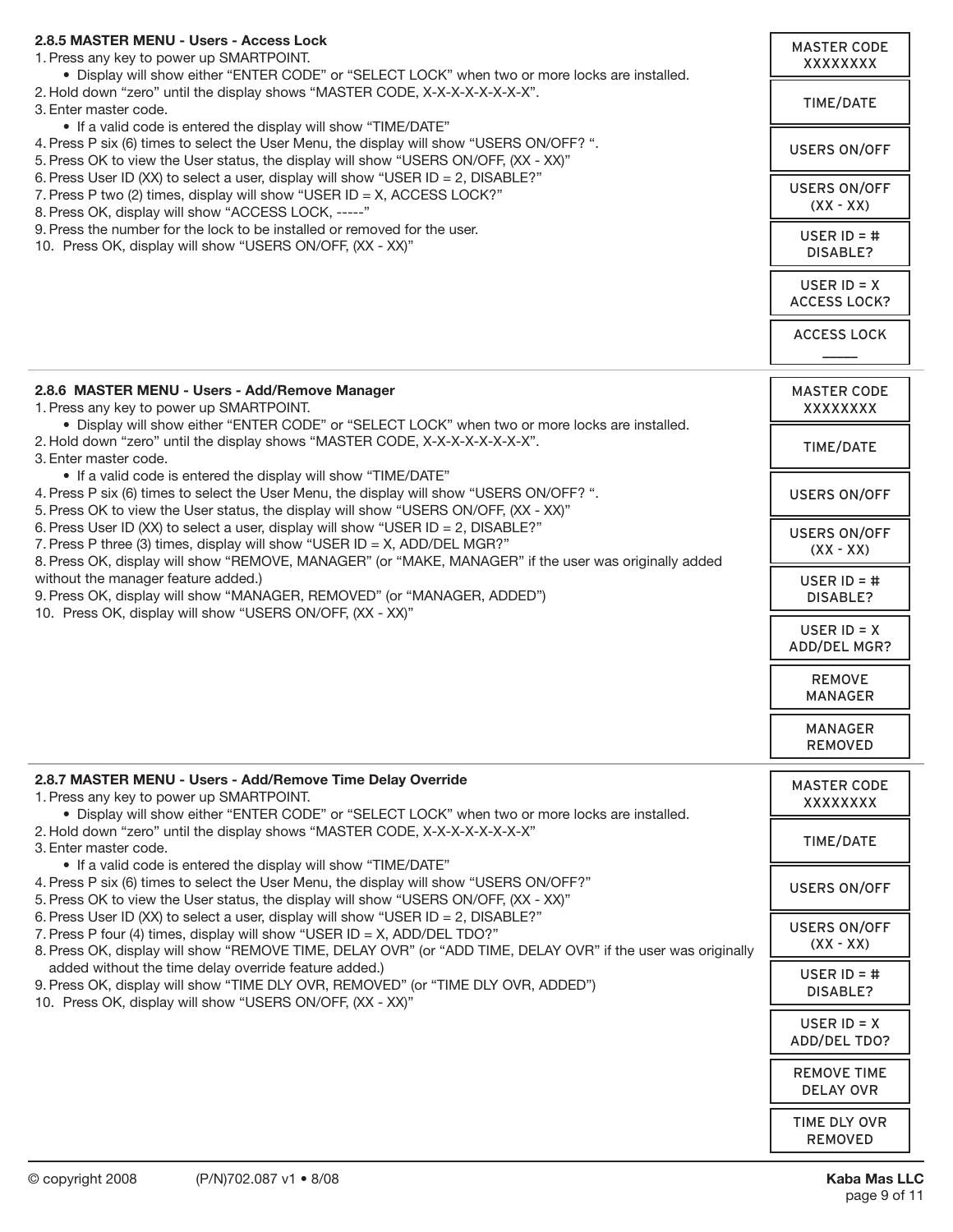| 2.8.5 MASTER MENU - Users - Access Lock<br>1. Press any key to power up SMARTPOINT.<br>. Display will show either "ENTER CODE" or "SELECT LOCK" when two or more locks are installed.<br>2. Hold down "zero" until the display shows "MASTER CODE, X-X-X-X-X-X-X-X".<br>3. Enter master code.<br>• If a valid code is entered the display will show "TIME/DATE"<br>4. Press P six (6) times to select the User Menu, the display will show "USERS ON/OFF? ".<br>5. Press OK to view the User status, the display will show "USERS ON/OFF, (XX - XX)"<br>6. Press User ID (XX) to select a user, display will show "USER ID = 2, DISABLE?"<br>7. Press P two (2) times, display will show "USER ID = X, ACCESS LOCK?"<br>8. Press OK, display will show "ACCESS LOCK, -----"<br>9. Press the number for the lock to be installed or removed for the user.<br>10. Press OK, display will show "USERS ON/OFF, (XX - XX)" | <b>MASTER CODE</b><br>XXXXXXXX<br>TIME/DATE<br><b>USERS ON/OFF</b><br><b>USERS ON/OFF</b><br>$(XX - XX)$<br>USER $ID = #$<br>DISABLE?<br>USER $ID = X$ |
|-----------------------------------------------------------------------------------------------------------------------------------------------------------------------------------------------------------------------------------------------------------------------------------------------------------------------------------------------------------------------------------------------------------------------------------------------------------------------------------------------------------------------------------------------------------------------------------------------------------------------------------------------------------------------------------------------------------------------------------------------------------------------------------------------------------------------------------------------------------------------------------------------------------------------|--------------------------------------------------------------------------------------------------------------------------------------------------------|
|                                                                                                                                                                                                                                                                                                                                                                                                                                                                                                                                                                                                                                                                                                                                                                                                                                                                                                                       | <b>ACCESS LOCK?</b><br><b>ACCESS LOCK</b>                                                                                                              |
| 2.8.6 MASTER MENU - Users - Add/Remove Manager<br>1. Press any key to power up SMARTPOINT.                                                                                                                                                                                                                                                                                                                                                                                                                                                                                                                                                                                                                                                                                                                                                                                                                            | <b>MASTER CODE</b><br>XXXXXXXX                                                                                                                         |
| . Display will show either "ENTER CODE" or "SELECT LOCK" when two or more locks are installed.<br>2. Hold down "zero" until the display shows "MASTER CODE, X-X-X-X-X-X-X-X-X".<br>3. Enter master code.                                                                                                                                                                                                                                                                                                                                                                                                                                                                                                                                                                                                                                                                                                              | TIME/DATE                                                                                                                                              |
| • If a valid code is entered the display will show "TIME/DATE"<br>4. Press P six (6) times to select the User Menu, the display will show "USERS ON/OFF? ".<br>5. Press OK to view the User status, the display will show "USERS ON/OFF, (XX - XX)"                                                                                                                                                                                                                                                                                                                                                                                                                                                                                                                                                                                                                                                                   | <b>USERS ON/OFF</b>                                                                                                                                    |
| 6. Press User ID (XX) to select a user, display will show "USER ID = 2, DISABLE?"<br>7. Press P three (3) times, display will show "USER ID = X, ADD/DEL MGR?"<br>8. Press OK, display will show "REMOVE, MANAGER" (or "MAKE, MANAGER" if the user was originally added                                                                                                                                                                                                                                                                                                                                                                                                                                                                                                                                                                                                                                               | <b>USERS ON/OFF</b><br>$(XX - XX)$                                                                                                                     |
| without the manager feature added.)<br>9. Press OK, display will show "MANAGER, REMOVED" (or "MANAGER, ADDED")<br>10. Press OK, display will show "USERS ON/OFF, (XX - XX)"                                                                                                                                                                                                                                                                                                                                                                                                                                                                                                                                                                                                                                                                                                                                           | USER $ID = #$<br>DISABLE?                                                                                                                              |
|                                                                                                                                                                                                                                                                                                                                                                                                                                                                                                                                                                                                                                                                                                                                                                                                                                                                                                                       | USER $ID = X$<br>ADD/DEL MGR?                                                                                                                          |
|                                                                                                                                                                                                                                                                                                                                                                                                                                                                                                                                                                                                                                                                                                                                                                                                                                                                                                                       | <b>REMOVE</b><br><b>MANAGER</b>                                                                                                                        |
|                                                                                                                                                                                                                                                                                                                                                                                                                                                                                                                                                                                                                                                                                                                                                                                                                                                                                                                       | <b>MANAGER</b><br><b>REMOVED</b>                                                                                                                       |
| 2.8.7 MASTER MENU - Users - Add/Remove Time Delay Override<br>1. Press any key to power up SMARTPOINT.<br>. Display will show either "ENTER CODE" or "SELECT LOCK" when two or more locks are installed.                                                                                                                                                                                                                                                                                                                                                                                                                                                                                                                                                                                                                                                                                                              | <b>MASTER CODE</b><br>XXXXXXXX                                                                                                                         |
| 2. Hold down "zero" until the display shows "MASTER CODE, X-X-X-X-X-X-X-X"<br>3. Enter master code.<br>• If a valid code is entered the display will show "TIME/DATE"                                                                                                                                                                                                                                                                                                                                                                                                                                                                                                                                                                                                                                                                                                                                                 | TIME/DATE                                                                                                                                              |
| 4. Press P six (6) times to select the User Menu, the display will show "USERS ON/OFF?"<br>5. Press OK to view the User status, the display will show "USERS ON/OFF, (XX - XX)"<br>6. Press User ID (XX) to select a user, display will show "USER ID = 2, DISABLE?"                                                                                                                                                                                                                                                                                                                                                                                                                                                                                                                                                                                                                                                  | USERS ON/OFF                                                                                                                                           |
| 7. Press P four (4) times, display will show "USER ID = X, ADD/DEL TDO?"<br>8. Press OK, display will show "REMOVE TIME, DELAY OVR" (or "ADD TIME, DELAY OVR" if the user was originally                                                                                                                                                                                                                                                                                                                                                                                                                                                                                                                                                                                                                                                                                                                              | <b>USERS ON/OFF</b><br>$(XX - XX)$                                                                                                                     |
| added without the time delay override feature added.)<br>9. Press OK, display will show "TIME DLY OVR, REMOVED" (or "TIME DLY OVR, ADDED")<br>10. Press OK, display will show "USERS ON/OFF, (XX - XX)"                                                                                                                                                                                                                                                                                                                                                                                                                                                                                                                                                                                                                                                                                                               | USER $ID = #$<br>DISABLE?                                                                                                                              |
|                                                                                                                                                                                                                                                                                                                                                                                                                                                                                                                                                                                                                                                                                                                                                                                                                                                                                                                       | USER $ID = X$<br>ADD/DEL TDO?                                                                                                                          |
|                                                                                                                                                                                                                                                                                                                                                                                                                                                                                                                                                                                                                                                                                                                                                                                                                                                                                                                       | <b>REMOVE TIME</b><br><b>DELAY OVR</b>                                                                                                                 |
|                                                                                                                                                                                                                                                                                                                                                                                                                                                                                                                                                                                                                                                                                                                                                                                                                                                                                                                       | TIME DLY OVR<br><b>REMOVED</b>                                                                                                                         |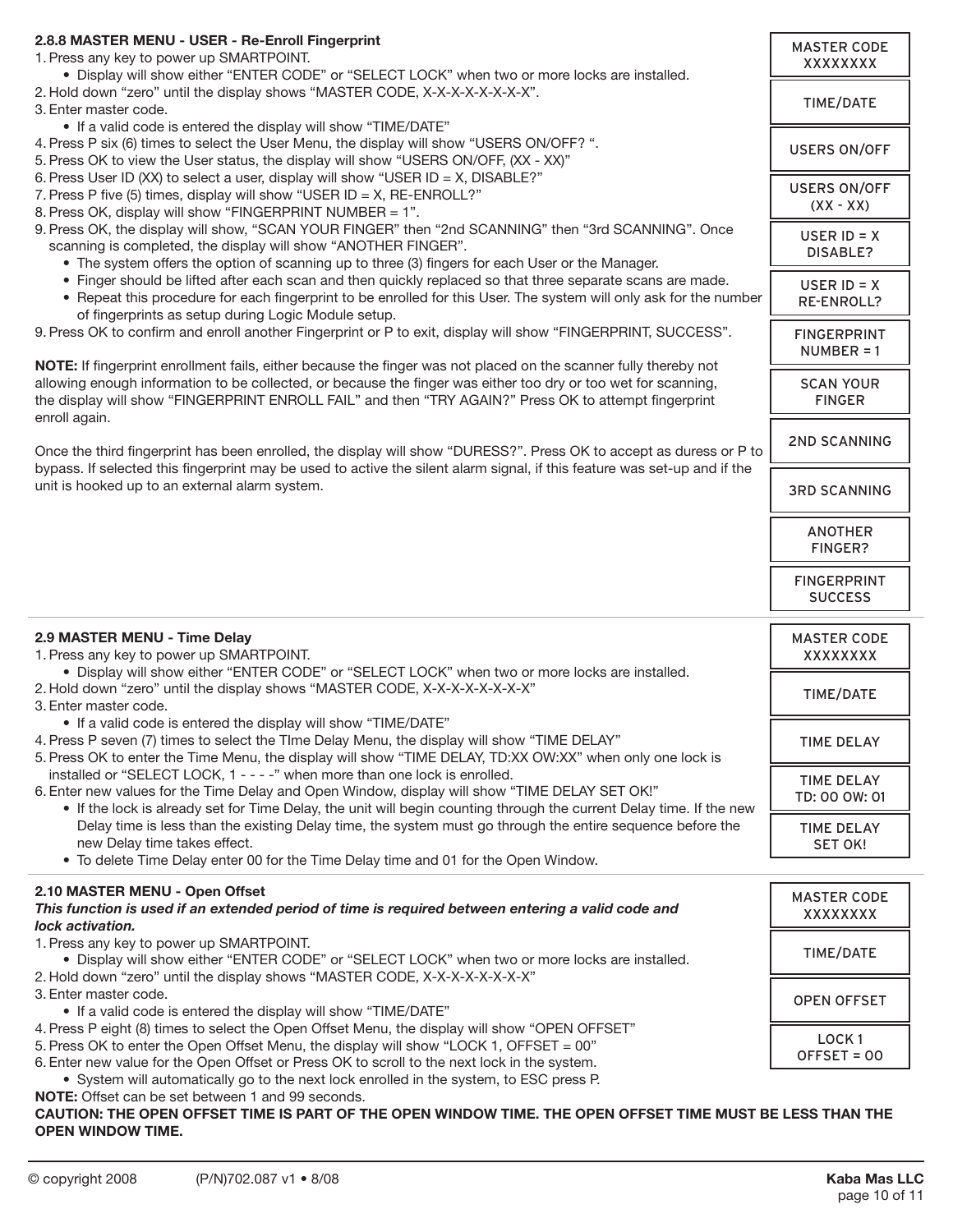| 2.8.8 MASTER MENU - USER - Re-Enroll Fingerprint<br>1. Press any key to power up SMARTPOINT.<br>. Display will show either "ENTER CODE" or "SELECT LOCK" when two or more locks are installed.                                                                                                        | <b>MASTER CODE</b><br>XXXXXXXX       |
|-------------------------------------------------------------------------------------------------------------------------------------------------------------------------------------------------------------------------------------------------------------------------------------------------------|--------------------------------------|
| 2. Hold down "zero" until the display shows "MASTER CODE, X-X-X-X-X-X-X-X-X".<br>3. Enter master code.                                                                                                                                                                                                | TIME/DATE                            |
| • If a valid code is entered the display will show "TIME/DATE"<br>4. Press P six (6) times to select the User Menu, the display will show "USERS ON/OFF? ".<br>5. Press OK to view the User status, the display will show "USERS ON/OFF, (XX - XX)"                                                   | <b>USERS ON/OFF</b>                  |
| 6. Press User ID (XX) to select a user, display will show "USER ID = X, DISABLE?"<br>7. Press P five (5) times, display will show "USER ID = X, RE-ENROLL?"<br>8. Press OK, display will show "FINGERPRINT NUMBER = 1".                                                                               | <b>USERS ON/OFF</b><br>$(XX - XX)$   |
| 9. Press OK, the display will show, "SCAN YOUR FINGER" then "2nd SCANNING" then "3rd SCANNING". Once<br>scanning is completed, the display will show "ANOTHER FINGER".<br>• The system offers the option of scanning up to three (3) fingers for each User or the Manager.                            | USER $ID = X$<br>DISABLE?            |
| . Finger should be lifted after each scan and then quickly replaced so that three separate scans are made.<br>• Repeat this procedure for each fingerprint to be enrolled for this User. The system will only ask for the number<br>of fingerprints as setup during Logic Module setup.               | USER $ID = X$<br><b>RE-ENROLL?</b>   |
| 9. Press OK to confirm and enroll another Fingerprint or P to exit, display will show "FINGERPRINT, SUCCESS".<br>NOTE: If fingerprint enrollment fails, either because the finger was not placed on the scanner fully thereby not                                                                     | <b>FINGERPRINT</b><br>$NUMBER = 1$   |
| allowing enough information to be collected, or because the finger was either too dry or too wet for scanning,<br>the display will show "FINGERPRINT ENROLL FAIL" and then "TRY AGAIN?" Press OK to attempt fingerprint<br>enroll again.                                                              | <b>SCAN YOUR</b><br><b>FINGER</b>    |
| Once the third fingerprint has been enrolled, the display will show "DURESS?". Press OK to accept as duress or P to                                                                                                                                                                                   | <b>2ND SCANNING</b>                  |
| bypass. If selected this fingerprint may be used to active the silent alarm signal, if this feature was set-up and if the<br>unit is hooked up to an external alarm system.                                                                                                                           | <b>3RD SCANNING</b>                  |
|                                                                                                                                                                                                                                                                                                       | <b>ANOTHER</b><br>FINGER?            |
|                                                                                                                                                                                                                                                                                                       | <b>FINGERPRINT</b><br><b>SUCCESS</b> |
| 2.9 MASTER MENU - Time Delay<br>1. Press any key to power up SMARTPOINT.                                                                                                                                                                                                                              | <b>MASTER CODE</b><br>XXXXXXXX       |
| . Display will show either "ENTER CODE" or "SELECT LOCK" when two or more locks are installed.<br>2. Hold down "zero" until the display shows "MASTER CODE, X-X-X-X-X-X-X-X"<br>3. Enter master code.                                                                                                 | TIME/DATE                            |
| • If a valid code is entered the display will show "TIME/DATE"<br>4. Press P seven (7) times to select the Tlme Delay Menu, the display will show "TIME DELAY"<br>5. Press OK to enter the Time Menu, the display will show "TIME DELAY, TD:XX OW:XX" when only one lock is                           | <b>TIME DELAY</b>                    |
| installed or "SELECT LOCK, 1 - - - - " when more than one lock is enrolled.<br>6. Enter new values for the Time Delay and Open Window, display will show "TIME DELAY SET OK!"<br>. If the lock is already set for Time Delay, the unit will begin counting through the current Delay time. If the new | <b>TIME DELAY</b><br>TD: 00 OW: 01   |
| Delay time is less than the existing Delay time, the system must go through the entire sequence before the<br>new Delay time takes effect.<br>• To delete Time Delay enter 00 for the Time Delay time and 01 for the Open Window.                                                                     | <b>TIME DELAY</b><br><b>SET OK!</b>  |
| 2.10 MASTER MENU - Open Offset                                                                                                                                                                                                                                                                        | <b>MASTER CODE</b>                   |
| This function is used if an extended period of time is required between entering a valid code and<br>lock activation.                                                                                                                                                                                 | <b>XXXXXXXX</b>                      |
| 1. Press any key to power up SMARTPOINT.<br>. Display will show either "ENTER CODE" or "SELECT LOCK" when two or more locks are installed.<br>2. Hold down "zero" until the display shows "MASTER CODE, X-X-X-X-X-X-X-X"                                                                              | TIME/DATE                            |
| 3. Enter master code.<br>• If a valid code is entered the display will show "TIME/DATE"                                                                                                                                                                                                               | <b>OPEN OFFSET</b>                   |
| 4. Press P eight (8) times to select the Open Offset Menu, the display will show "OPEN OFFSET"<br>5. Press OK to enter the Open Offset Menu, the display will show "LOCK 1, OFFSET = 00"<br>6. Enter new value for the Open Offset or Press OK to scroll to the next lock in the system.              | LOCK <sub>1</sub><br>OFFSET = 00     |
| • System will automatically go to the next lock enrolled in the system, to ESC press P.                                                                                                                                                                                                               |                                      |

**CAUTION: THE OPEN OFFSET TIME IS PART OF THE OPEN WINDOW TIME. THE OPEN OFFSET TIME MUST BE LESS THAN THE OPEN WINDOW TIME.**